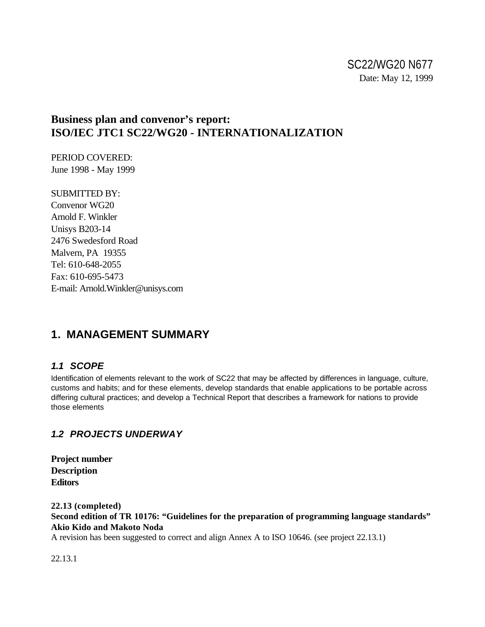# **Business plan and convenor's report: ISO/IEC JTC1 SC22/WG20 - INTERNATIONALIZATION**

PERIOD COVERED: June 1998 - May 1999

SUBMITTED BY: Convenor WG20 Arnold F. Winkler Unisys B203-14 2476 Swedesford Road Malvern, PA 19355 Tel: 610-648-2055 Fax: 610-695-5473 E-mail: Arnold.Winkler@unisys.com

# **1. MANAGEMENT SUMMARY**

# *1.1 SCOPE*

Identification of elements relevant to the work of SC22 that may be affected by differences in language, culture, customs and habits; and for these elements, develop standards that enable applications to be portable across differing cultural practices; and develop a Technical Report that describes a framework for nations to provide those elements

# *1.2 PROJECTS UNDERWAY*

**Project number Description Editors**

**22.13 (completed) Second edition of TR 10176: "Guidelines for the preparation of programming language standards" Akio Kido and Makoto Noda**

A revision has been suggested to correct and align Annex A to ISO 10646. (see project 22.13.1)

22.13.1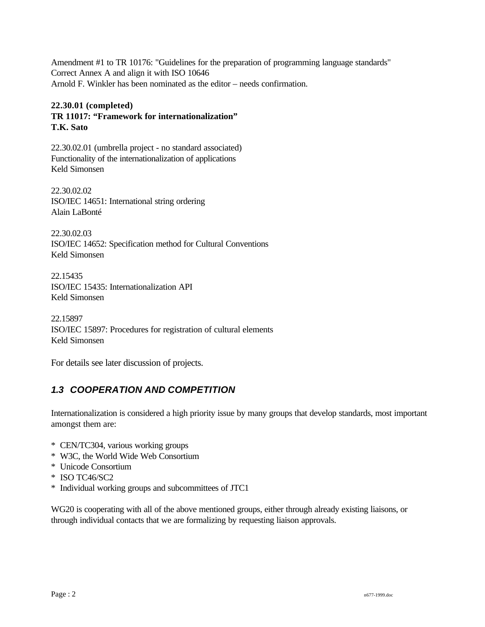Amendment #1 to TR 10176: "Guidelines for the preparation of programming language standards" Correct Annex A and align it with ISO 10646 Arnold F. Winkler has been nominated as the editor – needs confirmation.

#### **22.30.01 (completed) TR 11017: "Framework for internationalization" T.K. Sato**

22.30.02.01 (umbrella project - no standard associated) Functionality of the internationalization of applications Keld Simonsen

22.30.02.02 ISO/IEC 14651: International string ordering Alain LaBonté

22.30.02.03 ISO/IEC 14652: Specification method for Cultural Conventions Keld Simonsen

22.15435 ISO/IEC 15435: Internationalization API Keld Simonsen

22.15897 ISO/IEC 15897: Procedures for registration of cultural elements Keld Simonsen

For details see later discussion of projects.

# *1.3 COOPERATION AND COMPETITION*

Internationalization is considered a high priority issue by many groups that develop standards, most important amongst them are:

- \* CEN/TC304, various working groups
- \* W3C, the World Wide Web Consortium
- \* Unicode Consortium
- \* ISO TC46/SC2
- \* Individual working groups and subcommittees of JTC1

WG20 is cooperating with all of the above mentioned groups, either through already existing liaisons, or through individual contacts that we are formalizing by requesting liaison approvals.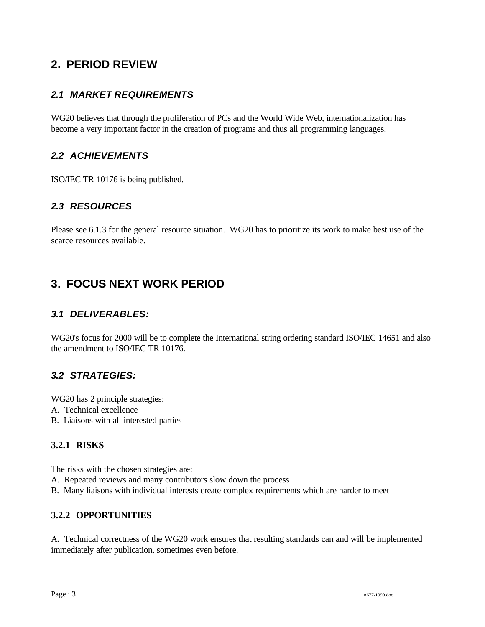# **2. PERIOD REVIEW**

# *2.1 MARKET REQUIREMENTS*

WG20 believes that through the proliferation of PCs and the World Wide Web, internationalization has become a very important factor in the creation of programs and thus all programming languages.

# *2.2 ACHIEVEMENTS*

ISO/IEC TR 10176 is being published.

# *2.3 RESOURCES*

Please see 6.1.3 for the general resource situation. WG20 has to prioritize its work to make best use of the scarce resources available.

# **3. FOCUS NEXT WORK PERIOD**

# *3.1 DELIVERABLES:*

WG20's focus for 2000 will be to complete the International string ordering standard ISO/IEC 14651 and also the amendment to ISO/IEC TR 10176.

## *3.2 STRATEGIES:*

WG20 has 2 principle strategies: A. Technical excellence

B. Liaisons with all interested parties

## **3.2.1 RISKS**

The risks with the chosen strategies are:

- A. Repeated reviews and many contributors slow down the process
- B. Many liaisons with individual interests create complex requirements which are harder to meet

#### **3.2.2 OPPORTUNITIES**

A. Technical correctness of the WG20 work ensures that resulting standards can and will be implemented immediately after publication, sometimes even before.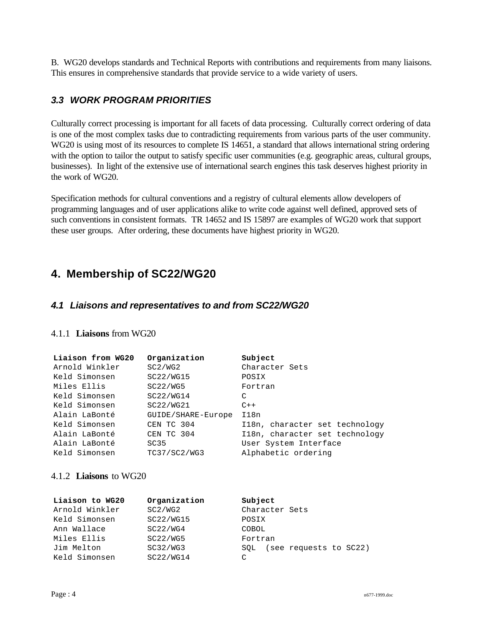B. WG20 develops standards and Technical Reports with contributions and requirements from many liaisons. This ensures in comprehensive standards that provide service to a wide variety of users.

# *3.3 WORK PROGRAM PRIORITIES*

Culturally correct processing is important for all facets of data processing. Culturally correct ordering of data is one of the most complex tasks due to contradicting requirements from various parts of the user community. WG20 is using most of its resources to complete IS 14651, a standard that allows international string ordering with the option to tailor the output to satisfy specific user communities (e.g. geographic areas, cultural groups, businesses). In light of the extensive use of international search engines this task deserves highest priority in the work of WG20.

Specification methods for cultural conventions and a registry of cultural elements allow developers of programming languages and of user applications alike to write code against well defined, approved sets of such conventions in consistent formats. TR 14652 and IS 15897 are examples of WG20 work that support these user groups. After ordering, these documents have highest priority in WG20.

# **4. Membership of SC22/WG20**

### *4.1 Liaisons and representatives to and from SC22/WG20*

#### 4.1.1 **Liaisons** from WG20

| Liaison from WG20 | Organization       | Subject                        |
|-------------------|--------------------|--------------------------------|
| Arnold Winkler    | SC2/WG2            | Character Sets                 |
| Keld Simonsen     | SC22/WG15          | POSIX                          |
| Miles Ellis       | SC22/WG5           | Fortran                        |
| Keld Simonsen     | SC22/WG14          | C                              |
| Keld Simonsen     | SC22/WG21          | $C++$                          |
| Alain LaBonté     | GUIDE/SHARE-Europe | I18n                           |
| Keld Simonsen     | CEN TC 304         | I18n, character set technology |
| Alain LaBonté     | CEN TC 304         | I18n, character set technology |
| Alain LaBonté     | SC <sub>35</sub>   | User System Interface          |
| Keld Simonsen     | TC37/SC2/WG3       | Alphabetic ordering            |

#### 4.1.2 **Liaisons** to WG20

| Liaison to WG20 | Organization | Subject                       |  |  |
|-----------------|--------------|-------------------------------|--|--|
| Arnold Winkler  | SC2/WG2      | Character Sets                |  |  |
| Keld Simonsen   | SC22/WG15    | POSIX                         |  |  |
| Ann Wallace     | SC22/WG4     | COBOL                         |  |  |
| Miles Ellis     | SC22/WG5     | Fortran                       |  |  |
| Jim Melton      | SC32/WG3     | (see requests to SC22)<br>SOL |  |  |
| Keld Simonsen   | SC22/WG14    | C                             |  |  |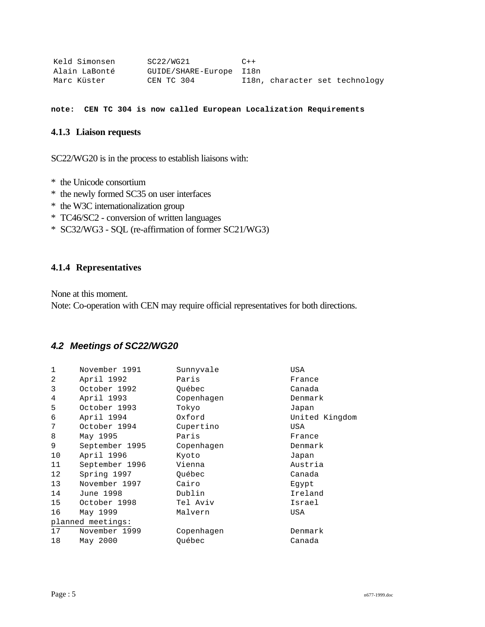| Keld Simonsen | SC22/WG21               | $C++$ |  |                                |
|---------------|-------------------------|-------|--|--------------------------------|
| Alain LaBonté | GUIDE/SHARE-Europe I18n |       |  |                                |
| Marc Küster   | CEN TC 304              |       |  | Il8n, character set technology |

**note: CEN TC 304 is now called European Localization Requirements**

#### **4.1.3 Liaison requests**

SC22/WG20 is in the process to establish liaisons with:

- \* the Unicode consortium
- \* the newly formed SC35 on user interfaces
- \* the W3C internationalization group
- \* TC46/SC2 conversion of written languages
- \* SC32/WG3 SQL (re-affirmation of former SC21/WG3)

### **4.1.4 Representatives**

None at this moment.

Note: Co-operation with CEN may require official representatives for both directions.

## *4.2 Meetings of SC22/WG20*

| 1                 | November 1991  | Sunnyvale  | USA            |  |  |  |
|-------------------|----------------|------------|----------------|--|--|--|
| 2                 | April 1992     | Paris      | France         |  |  |  |
| 3                 | October 1992   | Québec     | Canada         |  |  |  |
| 4                 | April 1993     | Copenhagen | Denmark        |  |  |  |
| 5                 | October 1993   | Tokyo      | Japan          |  |  |  |
| 6                 | April 1994     | Oxford     | United Kingdom |  |  |  |
| 7                 | October 1994   | Cupertino  | USA            |  |  |  |
| 8                 | May 1995       | Paris      | France         |  |  |  |
| 9                 | September 1995 | Copenhagen | Denmark        |  |  |  |
| 10                | April 1996     | Kyoto      | Japan          |  |  |  |
| 11                | September 1996 | Vienna     | Austria        |  |  |  |
| 12                | Spring 1997    | Ouébec     | Canada         |  |  |  |
| 13                | November 1997  | Cairo      | Eqypt          |  |  |  |
| 14                | June 1998      | Dublin     | Ireland        |  |  |  |
| 15                | October 1998   | Tel Aviv   | Israel         |  |  |  |
| 16                | May 1999       | Malvern    | USA            |  |  |  |
| planned meetings: |                |            |                |  |  |  |
| 17                | November 1999  | Copenhagen | Denmark        |  |  |  |
| 18                | May 2000       | Ouébec     | Canada         |  |  |  |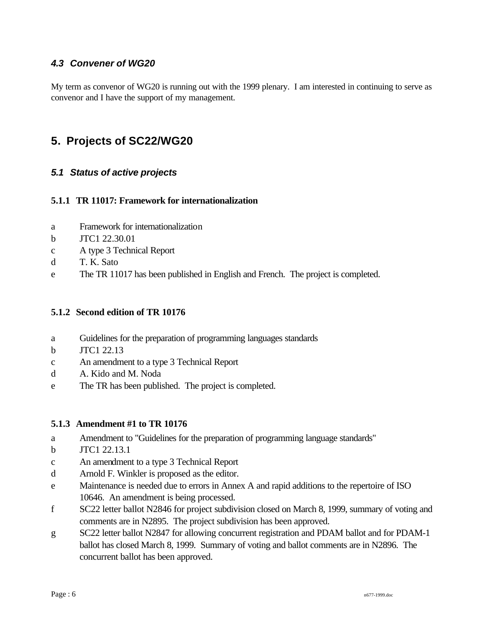# *4.3 Convener of WG20*

My term as convenor of WG20 is running out with the 1999 plenary. I am interested in continuing to serve as convenor and I have the support of my management.

# **5. Projects of SC22/WG20**

## *5.1 Status of active projects*

#### **5.1.1 TR 11017: Framework for internationalization**

- a Framework for internationalization
- b JTC1 22.30.01
- c A type 3 Technical Report
- d T. K. Sato
- e The TR 11017 has been published in English and French. The project is completed.

#### **5.1.2 Second edition of TR 10176**

- a Guidelines for the preparation of programming languages standards
- b JTC1 22.13
- c An amendment to a type 3 Technical Report
- d A. Kido and M. Noda
- e The TR has been published. The project is completed.

#### **5.1.3 Amendment #1 to TR 10176**

- a Amendment to "Guidelines for the preparation of programming language standards"
- b JTC1 22.13.1
- c An amendment to a type 3 Technical Report
- d Arnold F. Winkler is proposed as the editor.
- e Maintenance is needed due to errors in Annex A and rapid additions to the repertoire of ISO 10646. An amendment is being processed.
- f SC22 letter ballot N2846 for project subdivision closed on March 8, 1999, summary of voting and comments are in N2895. The project subdivision has been approved.
- g SC22 letter ballot N2847 for allowing concurrent registration and PDAM ballot and for PDAM-1 ballot has closed March 8, 1999. Summary of voting and ballot comments are in N2896. The concurrent ballot has been approved.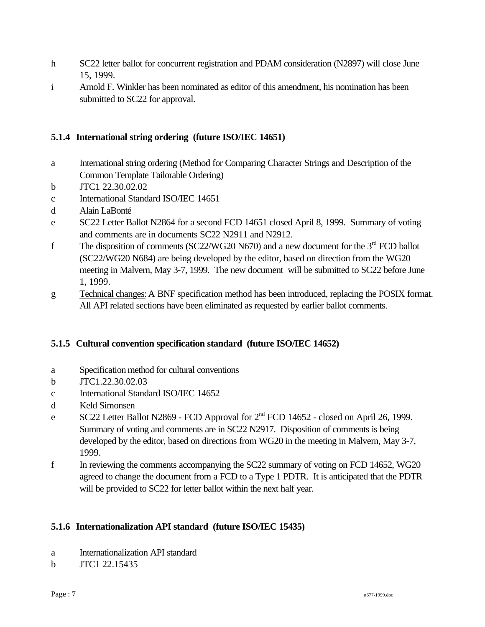- h SC22 letter ballot for concurrent registration and PDAM consideration (N2897) will close June 15, 1999.
- i Arnold F. Winkler has been nominated as editor of this amendment, his nomination has been submitted to SC22 for approval.

# **5.1.4 International string ordering (future ISO/IEC 14651)**

- a International string ordering (Method for Comparing Character Strings and Description of the Common Template Tailorable Ordering)
- b JTC1 22.30.02.02
- c International Standard ISO/IEC 14651
- d Alain LaBonté
- e SC22 Letter Ballot N2864 for a second FCD 14651 closed April 8, 1999. Summary of voting and comments are in documents SC22 N2911 and N2912.
- f The disposition of comments (SC22/WG20 N670) and a new document for the  $3<sup>rd</sup>$  FCD ballot (SC22/WG20 N684) are being developed by the editor, based on direction from the WG20 meeting in Malvern, May 3-7, 1999. The new document will be submitted to SC22 before June 1, 1999.
- g Technical changes: A BNF specification method has been introduced, replacing the POSIX format. All API related sections have been eliminated as requested by earlier ballot comments.

## **5.1.5 Cultural convention specification standard (future ISO/IEC 14652)**

- a Specification method for cultural conventions
- b JTC1.22.30.02.03
- c International Standard ISO/IEC 14652
- d Keld Simonsen
- e SC22 Letter Ballot N2869 FCD Approval for  $2<sup>nd</sup>$  FCD 14652 closed on April 26, 1999. Summary of voting and comments are in SC22 N2917. Disposition of comments is being developed by the editor, based on directions from WG20 in the meeting in Malvern, May 3-7, 1999.
- f In reviewing the comments accompanying the SC22 summary of voting on FCD 14652, WG20 agreed to change the document from a FCD to a Type 1 PDTR. It is anticipated that the PDTR will be provided to SC22 for letter ballot within the next half year.

## **5.1.6 Internationalization API standard (future ISO/IEC 15435)**

- a Internationalization API standard
- b JTC1 22.15435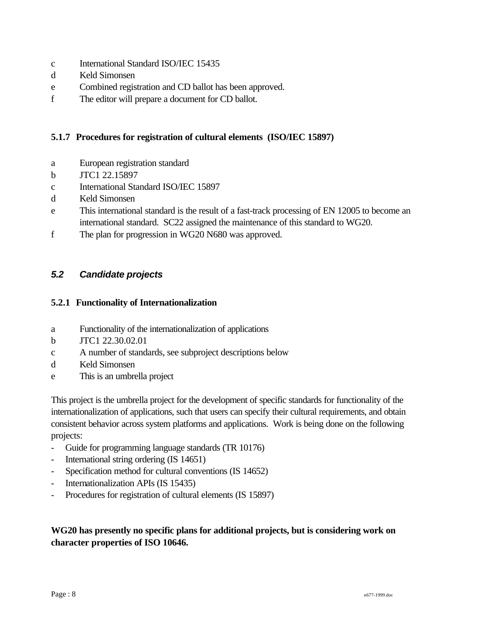- c International Standard ISO/IEC 15435
- d Keld Simonsen
- e Combined registration and CD ballot has been approved.
- f The editor will prepare a document for CD ballot.

# **5.1.7 Procedures for registration of cultural elements (ISO/IEC 15897)**

- a European registration standard
- b JTC1 22.15897
- c International Standard ISO/IEC 15897
- d Keld Simonsen
- e This international standard is the result of a fast-track processing of EN 12005 to become an international standard. SC22 assigned the maintenance of this standard to WG20.
- f The plan for progression in WG20 N680 was approved.

# *5.2 Candidate projects*

### **5.2.1 Functionality of Internationalization**

- a Functionality of the internationalization of applications
- b JTC1 22.30.02.01
- c A number of standards, see subproject descriptions below
- d Keld Simonsen
- e This is an umbrella project

This project is the umbrella project for the development of specific standards for functionality of the internationalization of applications, such that users can specify their cultural requirements, and obtain consistent behavior across system platforms and applications. Work is being done on the following projects:

- Guide for programming language standards (TR 10176)
- International string ordering (IS 14651)
- Specification method for cultural conventions (IS 14652)
- Internationalization APIs (IS 15435)
- Procedures for registration of cultural elements (IS 15897)

# **WG20 has presently no specific plans for additional projects, but is considering work on character properties of ISO 10646.**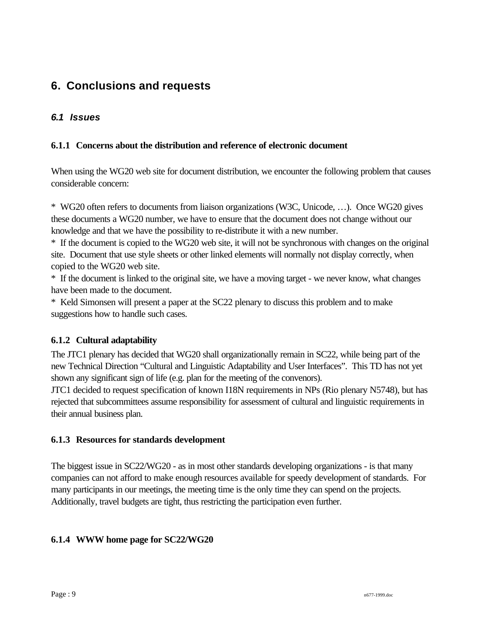# **6. Conclusions and requests**

# *6.1 Issues*

## **6.1.1 Concerns about the distribution and reference of electronic document**

When using the WG20 web site for document distribution, we encounter the following problem that causes considerable concern:

\* WG20 often refers to documents from liaison organizations (W3C, Unicode, …). Once WG20 gives these documents a WG20 number, we have to ensure that the document does not change without our knowledge and that we have the possibility to re-distribute it with a new number.

\* If the document is copied to the WG20 web site, it will not be synchronous with changes on the original site. Document that use style sheets or other linked elements will normally not display correctly, when copied to the WG20 web site.

\* If the document is linked to the original site, we have a moving target - we never know, what changes have been made to the document.

\* Keld Simonsen will present a paper at the SC22 plenary to discuss this problem and to make suggestions how to handle such cases.

## **6.1.2 Cultural adaptability**

The JTC1 plenary has decided that WG20 shall organizationally remain in SC22, while being part of the new Technical Direction "Cultural and Linguistic Adaptability and User Interfaces". This TD has not yet shown any significant sign of life (e.g. plan for the meeting of the convenors).

JTC1 decided to request specification of known I18N requirements in NPs (Rio plenary N5748), but has rejected that subcommittees assume responsibility for assessment of cultural and linguistic requirements in their annual business plan.

## **6.1.3 Resources for standards development**

The biggest issue in SC22/WG20 - as in most other standards developing organizations - is that many companies can not afford to make enough resources available for speedy development of standards. For many participants in our meetings, the meeting time is the only time they can spend on the projects. Additionally, travel budgets are tight, thus restricting the participation even further.

## **6.1.4 WWW home page for SC22/WG20**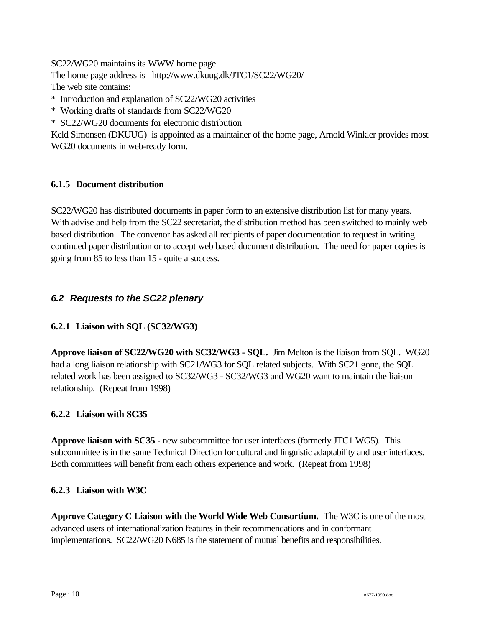SC22/WG20 maintains its WWW home page.

The home page address is http://www.dkuug.dk/JTC1/SC22/WG20/

The web site contains:

\* Introduction and explanation of SC22/WG20 activities

\* Working drafts of standards from SC22/WG20

\* SC22/WG20 documents for electronic distribution

Keld Simonsen (DKUUG) is appointed as a maintainer of the home page, Arnold Winkler provides most WG20 documents in web-ready form.

# **6.1.5 Document distribution**

SC22/WG20 has distributed documents in paper form to an extensive distribution list for many years. With advise and help from the SC22 secretariat, the distribution method has been switched to mainly web based distribution. The convenor has asked all recipients of paper documentation to request in writing continued paper distribution or to accept web based document distribution. The need for paper copies is going from 85 to less than 15 - quite a success.

# *6.2 Requests to the SC22 plenary*

# **6.2.1 Liaison with SQL (SC32/WG3)**

**Approve liaison of SC22/WG20 with SC32/WG3 - SQL.** Jim Melton is the liaison from SQL. WG20 had a long liaison relationship with SC21/WG3 for SQL related subjects. With SC21 gone, the SQL related work has been assigned to SC32/WG3 - SC32/WG3 and WG20 want to maintain the liaison relationship. (Repeat from 1998)

## **6.2.2 Liaison with SC35**

**Approve liaison with SC35** - new subcommittee for user interfaces (formerly JTC1 WG5). This subcommittee is in the same Technical Direction for cultural and linguistic adaptability and user interfaces. Both committees will benefit from each others experience and work. (Repeat from 1998)

## **6.2.3 Liaison with W3C**

**Approve Category C Liaison with the World Wide Web Consortium.** The W3C is one of the most advanced users of internationalization features in their recommendations and in conformant implementations. SC22/WG20 N685 is the statement of mutual benefits and responsibilities.